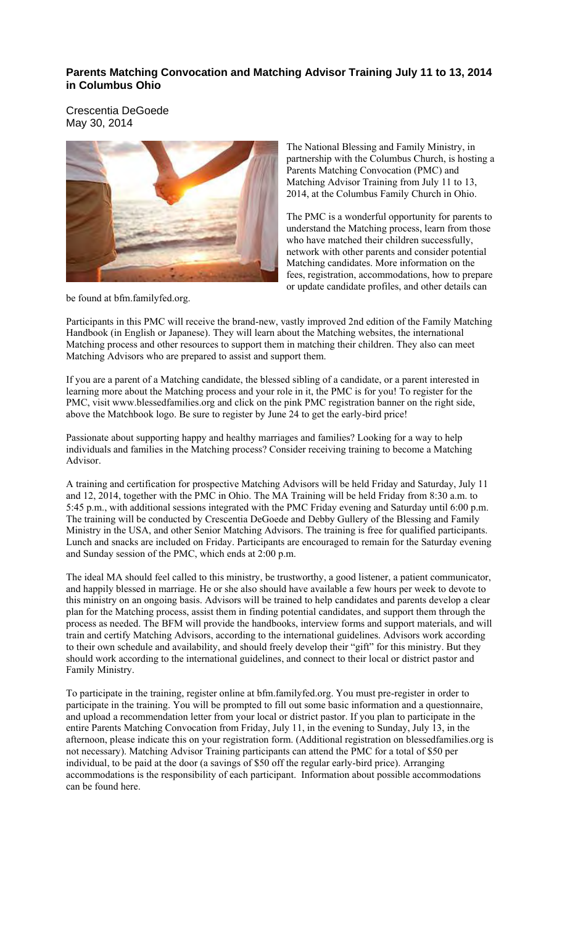### **Parents Matching Convocation and Matching Advisor Training July 11 to 13, 2014 in Columbus Ohio**

Crescentia DeGoede May 30, 2014



The National Blessing and Family Ministry, in partnership with the Columbus Church, is hosting a Parents Matching Convocation (PMC) and Matching Advisor Training from July 11 to 13, 2014, at the Columbus Family Church in Ohio.

The PMC is a wonderful opportunity for parents to understand the Matching process, learn from those who have matched their children successfully, network with other parents and consider potential Matching candidates. More information on the fees, registration, accommodations, how to prepare or update candidate profiles, and other details can

be found at bfm.familyfed.org.

Participants in this PMC will receive the brand-new, vastly improved 2nd edition of the Family Matching Handbook (in English or Japanese). They will learn about the Matching websites, the international Matching process and other resources to support them in matching their children. They also can meet Matching Advisors who are prepared to assist and support them.

If you are a parent of a Matching candidate, the blessed sibling of a candidate, or a parent interested in learning more about the Matching process and your role in it, the PMC is for you! To register for the PMC, visit www.blessedfamilies.org and click on the pink PMC registration banner on the right side, above the Matchbook logo. Be sure to register by June 24 to get the early-bird price!

Passionate about supporting happy and healthy marriages and families? Looking for a way to help individuals and families in the Matching process? Consider receiving training to become a Matching Advisor.

A training and certification for prospective Matching Advisors will be held Friday and Saturday, July 11 and 12, 2014, together with the PMC in Ohio. The MA Training will be held Friday from 8:30 a.m. to 5:45 p.m., with additional sessions integrated with the PMC Friday evening and Saturday until 6:00 p.m. The training will be conducted by Crescentia DeGoede and Debby Gullery of the Blessing and Family Ministry in the USA, and other Senior Matching Advisors. The training is free for qualified participants. Lunch and snacks are included on Friday. Participants are encouraged to remain for the Saturday evening and Sunday session of the PMC, which ends at 2:00 p.m.

The ideal MA should feel called to this ministry, be trustworthy, a good listener, a patient communicator, and happily blessed in marriage. He or she also should have available a few hours per week to devote to this ministry on an ongoing basis. Advisors will be trained to help candidates and parents develop a clear plan for the Matching process, assist them in finding potential candidates, and support them through the process as needed. The BFM will provide the handbooks, interview forms and support materials, and will train and certify Matching Advisors, according to the international guidelines. Advisors work according to their own schedule and availability, and should freely develop their "gift" for this ministry. But they should work according to the international guidelines, and connect to their local or district pastor and Family Ministry.

To participate in the training, register online at bfm.familyfed.org. You must pre-register in order to participate in the training. You will be prompted to fill out some basic information and a questionnaire, and upload a recommendation letter from your local or district pastor. If you plan to participate in the entire Parents Matching Convocation from Friday, July 11, in the evening to Sunday, July 13, in the afternoon, please indicate this on your registration form. (Additional registration on blessedfamilies.org is not necessary). Matching Advisor Training participants can attend the PMC for a total of \$50 per individual, to be paid at the door (a savings of \$50 off the regular early-bird price). Arranging accommodations is the responsibility of each participant. Information about possible accommodations can be found here.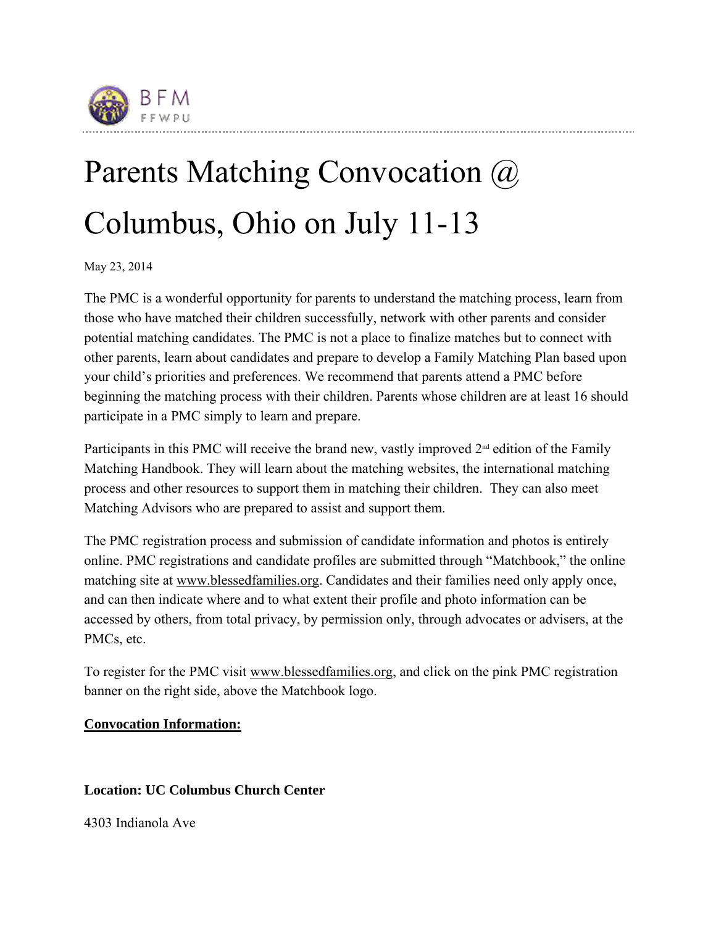

# Parents Matching Convocation @ Columbus, Ohio on July 11-13

May 23, 2014

The PMC is a wonderful opportunity for parents to understand the matching process, learn from those who have matched their children successfully, network with other parents and consider potential matching candidates. The PMC is not a place to finalize matches but to connect with other parents, learn about candidates and prepare to develop a Family Matching Plan based upon your child's priorities and preferences. We recommend that parents attend a PMC before beginning the matching process with their children. Parents whose children are at least 16 should participate in a PMC simply to learn and prepare.

Participants in this PMC will receive the brand new, vastly improved  $2<sup>nd</sup>$  edition of the Family Matching Handbook. They will learn about the matching websites, the international matching process and other resources to support them in matching their children. They can also meet Matching Advisors who are prepared to assist and support them.

The PMC registration process and submission of candidate information and photos is entirely online. PMC registrations and candidate profiles are submitted through "Matchbook," the online matching site at www.blessedfamilies.org. Candidates and their families need only apply once, and can then indicate where and to what extent their profile and photo information can be accessed by others, from total privacy, by permission only, through advocates or advisers, at the PMCs, etc.

To register for the PMC visit www.blessedfamilies.org, and click on the pink PMC registration banner on the right side, above the Matchbook logo.

## **Convocation Information:**

## **Location: UC Columbus Church Center**

4303 Indianola Ave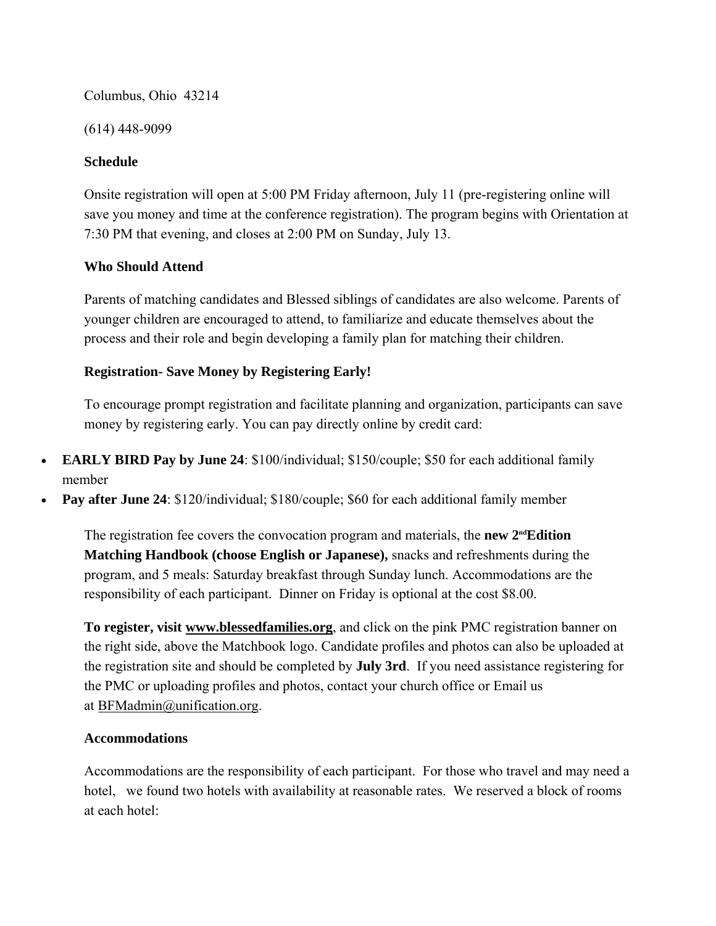Columbus, Ohio 43214

(614) 448-9099

#### **Schedule**

Onsite registration will open at 5:00 PM Friday afternoon, July 11 (pre-registering online will save you money and time at the conference registration). The program begins with Orientation at 7:30 PM that evening, and closes at 2:00 PM on Sunday, July 13.

#### **Who Should Attend**

Parents of matching candidates and Blessed siblings of candidates are also welcome. Parents of younger children are encouraged to attend, to familiarize and educate themselves about the process and their role and begin developing a family plan for matching their children.

#### **Registration- Save Money by Registering Early!**

To encourage prompt registration and facilitate planning and organization, participants can save money by registering early. You can pay directly online by credit card:

- **EARLY BIRD Pay by June 24**: \$100/individual; \$150/couple; \$50 for each additional family member
- **Pay after June 24**: \$120/individual; \$180/couple; \$60 for each additional family member

The registration fee covers the convocation program and materials, the **new 2<sup>nd</sup>Edition Matching Handbook (choose English or Japanese),** snacks and refreshments during the program, and 5 meals: Saturday breakfast through Sunday lunch. Accommodations are the responsibility of each participant. Dinner on Friday is optional at the cost \$8.00.

**To register, visit www.blessedfamilies.org**, and click on the pink PMC registration banner on the right side, above the Matchbook logo. Candidate profiles and photos can also be uploaded at the registration site and should be completed by **July 3rd**. If you need assistance registering for the PMC or uploading profiles and photos, contact your church office or Email us at BFMadmin@unification.org.

#### **Accommodations**

Accommodations are the responsibility of each participant. For those who travel and may need a hotel, we found two hotels with availability at reasonable rates. We reserved a block of rooms at each hotel: